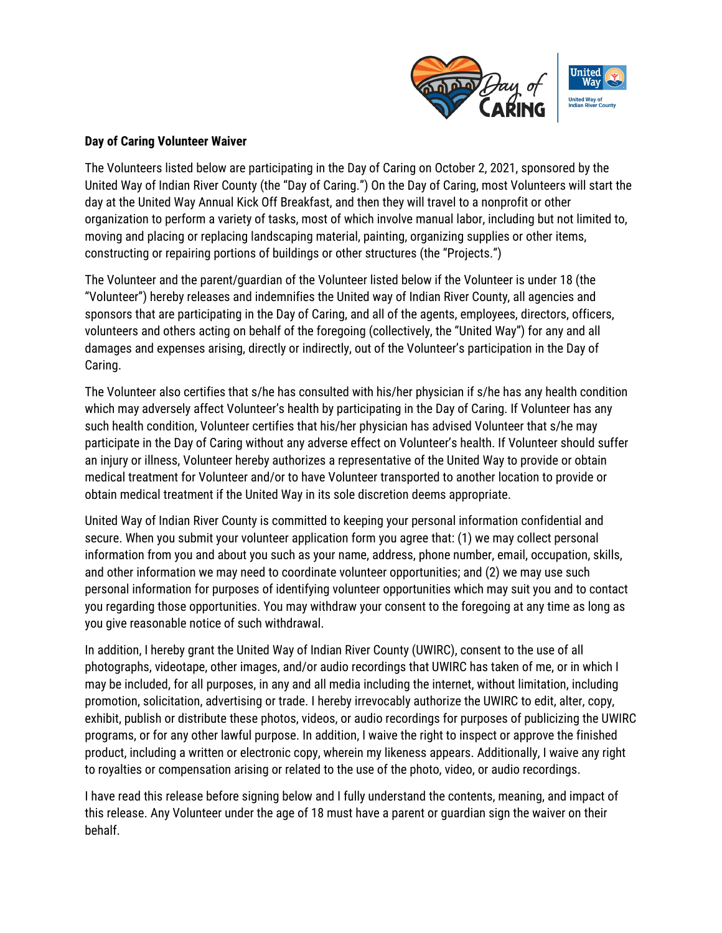

## **Day of Caring Volunteer Waiver**

The Volunteers listed below are participating in the Day of Caring on October 2, 2021, sponsored by the United Way of Indian River County (the "Day of Caring.") On the Day of Caring, most Volunteers will start the day at the United Way Annual Kick Off Breakfast, and then they will travel to a nonprofit or other organization to perform a variety of tasks, most of which involve manual labor, including but not limited to, moving and placing or replacing landscaping material, painting, organizing supplies or other items, constructing or repairing portions of buildings or other structures (the "Projects.")

The Volunteer and the parent/guardian of the Volunteer listed below if the Volunteer is under 18 (the "Volunteer") hereby releases and indemnifies the United way of Indian River County, all agencies and sponsors that are participating in the Day of Caring, and all of the agents, employees, directors, officers, volunteers and others acting on behalf of the foregoing (collectively, the "United Way") for any and all damages and expenses arising, directly or indirectly, out of the Volunteer's participation in the Day of Caring.

The Volunteer also certifies that s/he has consulted with his/her physician if s/he has any health condition which may adversely affect Volunteer's health by participating in the Day of Caring. If Volunteer has any such health condition, Volunteer certifies that his/her physician has advised Volunteer that s/he may participate in the Day of Caring without any adverse effect on Volunteer's health. If Volunteer should suffer an injury or illness, Volunteer hereby authorizes a representative of the United Way to provide or obtain medical treatment for Volunteer and/or to have Volunteer transported to another location to provide or obtain medical treatment if the United Way in its sole discretion deems appropriate.

United Way of Indian River County is committed to keeping your personal information confidential and secure. When you submit your volunteer application form you agree that: (1) we may collect personal information from you and about you such as your name, address, phone number, email, occupation, skills, and other information we may need to coordinate volunteer opportunities; and (2) we may use such personal information for purposes of identifying volunteer opportunities which may suit you and to contact you regarding those opportunities. You may withdraw your consent to the foregoing at any time as long as you give reasonable notice of such withdrawal.

In addition, I hereby grant the United Way of Indian River County (UWIRC), consent to the use of all photographs, videotape, other images, and/or audio recordings that UWIRC has taken of me, or in which I may be included, for all purposes, in any and all media including the internet, without limitation, including promotion, solicitation, advertising or trade. I hereby irrevocably authorize the UWIRC to edit, alter, copy, exhibit, publish or distribute these photos, videos, or audio recordings for purposes of publicizing the UWIRC programs, or for any other lawful purpose. In addition, I waive the right to inspect or approve the finished product, including a written or electronic copy, wherein my likeness appears. Additionally, I waive any right to royalties or compensation arising or related to the use of the photo, video, or audio recordings.

I have read this release before signing below and I fully understand the contents, meaning, and impact of this release. Any Volunteer under the age of 18 must have a parent or guardian sign the waiver on their behalf.